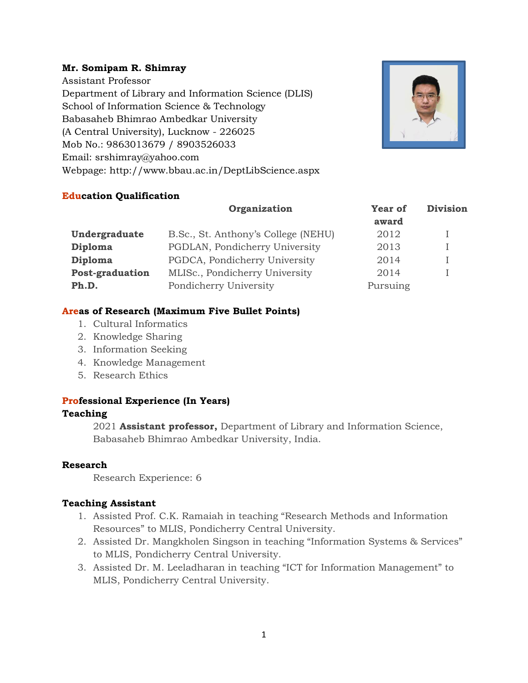#### **Mr. Somipam R. Shimray**

Assistant Professor Department of Library and Information Science (DLIS) School of Information Science & Technology Babasaheb Bhimrao Ambedkar University (A Central University), Lucknow - 226025 Mob No.: 9863013679 / 8903526033 Email: srshimray@yahoo.com Webpage: http://www.bbau.ac.in/DeptLibScience.aspx



#### **Education Qualification**

|                        | Organization                        | <b>Year of</b> | <b>Division</b> |
|------------------------|-------------------------------------|----------------|-----------------|
|                        |                                     | award          |                 |
| Undergraduate          | B.Sc., St. Anthony's College (NEHU) | 2012           |                 |
| <b>Diploma</b>         | PGDLAN, Pondicherry University      | 2013           |                 |
| Diploma                | PGDCA, Pondicherry University       | 2014           |                 |
| <b>Post-graduation</b> | MLISc., Pondicherry University      | 2014           |                 |
| Ph.D.                  | Pondicherry University              | Pursuing       |                 |

#### **Areas of Research (Maximum Five Bullet Points)**

- 1. Cultural Informatics
- 2. Knowledge Sharing
- 3. Information Seeking
- 4. Knowledge Management
- 5. Research Ethics

#### **Professional Experience (In Years)**

#### **Teaching**

2021 **Assistant professor,** Department of Library and Information Science, Babasaheb Bhimrao Ambedkar University, India.

#### **Research**

Research Experience: 6

#### **Teaching Assistant**

- 1. Assisted Prof. C.K. Ramaiah in teaching "Research Methods and Information Resources" to MLIS, Pondicherry Central University.
- 2. Assisted Dr. Mangkholen Singson in teaching "Information Systems & Services" to MLIS, Pondicherry Central University.
- 3. Assisted Dr. M. Leeladharan in teaching "ICT for Information Management" to MLIS, Pondicherry Central University.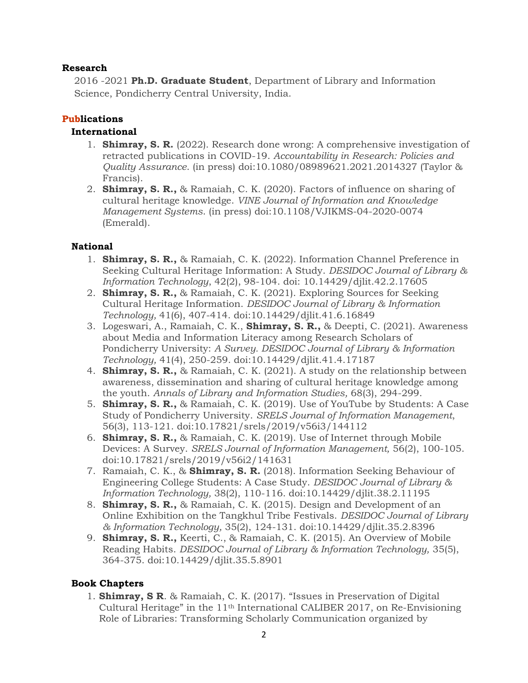#### **Research**

2016 -2021 **Ph.D. Graduate Student**, Department of Library and Information Science, Pondicherry Central University, India.

#### **Publications**

#### **International**

- 1. **Shimray, S. R.** (2022). Research done wrong: A comprehensive investigation of retracted publications in COVID-19. *Accountability in Research: Policies and Quality Assurance*. (in press) doi:10.1080/08989621.2021.2014327 (Taylor & Francis).
- 2. **Shimray, S. R.,** & Ramaiah, C. K. (2020). Factors of influence on sharing of cultural heritage knowledge. *VINE Journal of Information and Knowledge Management Systems*. (in press) doi:10.1108/VJIKMS-04-2020-0074 (Emerald).

#### **National**

- 1. **Shimray, S. R.,** & Ramaiah, C. K. (2022). Information Channel Preference in Seeking Cultural Heritage Information: A Study. *DESIDOC Journal of Library & Information Technology*, 42(2), 98-104. doi: 10.14429/djlit.42.2.17605
- 2. **Shimray, S. R.,** & Ramaiah, C. K. (2021). Exploring Sources for Seeking Cultural Heritage Information. *DESIDOC Journal of Library & Information Technology,* 41(6), 407-414. doi:10.14429/djlit.41.6.16849
- 3. Logeswari, A., Ramaiah, C. K., **Shimray, S. R.,** & Deepti, C. (2021). Awareness about Media and Information Literacy among Research Scholars of Pondicherry University: *A Survey. DESIDOC Journal of Library & Information Technology,* 41(4), 250-259. doi:10.14429/djlit.41.4.17187
- 4. **Shimray, S. R.,** & Ramaiah, C. K. (2021). A study on the relationship between awareness, dissemination and sharing of cultural heritage knowledge among the youth. *Annals of Library and Information Studies,* 68(3), 294-299.
- 5. **Shimray, S. R.,** & Ramaiah, C. K. (2019). Use of YouTube by Students: A Case Study of Pondicherry University. *SRELS Journal of Information Management*, 56(3), 113-121. doi:10.17821/srels/2019/v56i3/144112
- 6. **Shimray, S. R.,** & Ramaiah, C. K. (2019). Use of Internet through Mobile Devices: A Survey. *SRELS Journal of Information Management,* 56(2), 100-105. doi:10.17821/srels/2019/v56i2/141631
- 7. Ramaiah, C. K., & **Shimray, S. R.** (2018). Information Seeking Behaviour of Engineering College Students: A Case Study. *DESIDOC Journal of Library & Information Technology,* 38(2), 110-116. doi:10.14429/djlit.38.2.11195
- 8. **Shimray, S. R.,** & Ramaiah, C. K. (2015). Design and Development of an Online Exhibition on the Tangkhul Tribe Festivals. *DESIDOC Journal of Library & Information Technology,* 35(2), 124-131. doi:10.14429/djlit.35.2.8396
- 9. **Shimray, S. R.,** Keerti, C., & Ramaiah, C. K. (2015). An Overview of Mobile Reading Habits. *DESIDOC Journal of Library & Information Technology,* 35(5), 364-375. doi:10.14429/djlit.35.5.8901

## **Book Chapters**

1. **Shimray, S R**. & Ramaiah, C. K. (2017). "Issues in Preservation of Digital Cultural Heritage" in the  $11<sup>th</sup>$  International CALIBER 2017, on Re-Envisioning Role of Libraries: Transforming Scholarly Communication organized by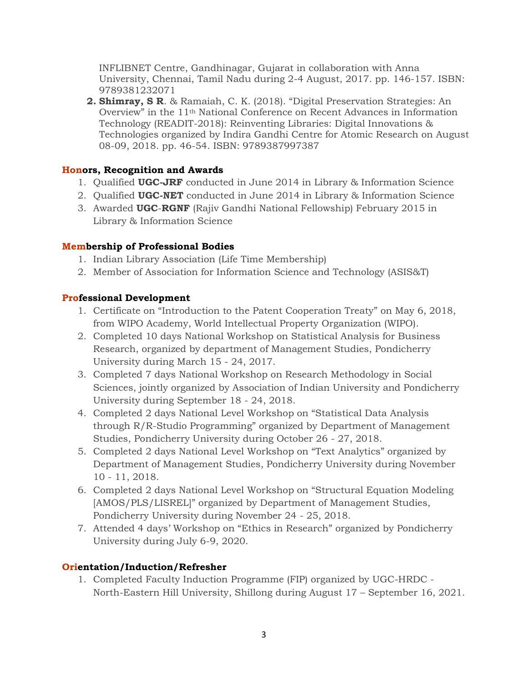INFLIBNET Centre, Gandhinagar, Gujarat in collaboration with Anna University, Chennai, Tamil Nadu during 2-4 August, 2017. pp. 146-157. ISBN: 9789381232071

**2. Shimray, S R**. & Ramaiah, C. K. (2018). "Digital Preservation Strategies: An Overview" in the 11th National Conference on Recent Advances in Information Technology (READIT-2018): Reinventing Libraries: Digital Innovations & Technologies organized by Indira Gandhi Centre for Atomic Research on August 08-09, 2018. pp. 46-54. ISBN: 9789387997387

#### **Honors, Recognition and Awards**

- 1. Qualified **UGC-JRF** conducted in June 2014 in Library & Information Science
- 2. Qualified **UGC-NET** conducted in June 2014 in Library & Information Science
- 3. Awarded **UGC**-**RGNF** (Rajiv Gandhi National Fellowship) February 2015 in Library & Information Science

#### **Membership of Professional Bodies**

- 1. Indian Library Association (Life Time Membership)
- 2. Member of Association for Information Science and Technology (ASIS&T)

#### **Professional Development**

- 1. Certificate on "Introduction to the Patent Cooperation Treaty" on May 6, 2018, from WIPO Academy, World Intellectual Property Organization (WIPO).
- 2. Completed 10 days National Workshop on Statistical Analysis for Business Research, organized by department of Management Studies, Pondicherry University during March 15 - 24, 2017.
- 3. Completed 7 days National Workshop on Research Methodology in Social Sciences, jointly organized by Association of Indian University and Pondicherry University during September 18 - 24, 2018.
- 4. Completed 2 days National Level Workshop on "Statistical Data Analysis through R/R-Studio Programming" organized by Department of Management Studies, Pondicherry University during October 26 - 27, 2018.
- 5. Completed 2 days National Level Workshop on "Text Analytics" organized by Department of Management Studies, Pondicherry University during November 10 - 11, 2018.
- 6. Completed 2 days National Level Workshop on "Structural Equation Modeling [AMOS/PLS/LISREL]" organized by Department of Management Studies, Pondicherry University during November 24 - 25, 2018.
- 7. Attended 4 days' Workshop on "Ethics in Research" organized by Pondicherry University during July 6-9, 2020.

## **Orientation/Induction/Refresher**

1. Completed Faculty Induction Programme (FIP) organized by UGC-HRDC - North-Eastern Hill University, Shillong during August 17 – September 16, 2021.